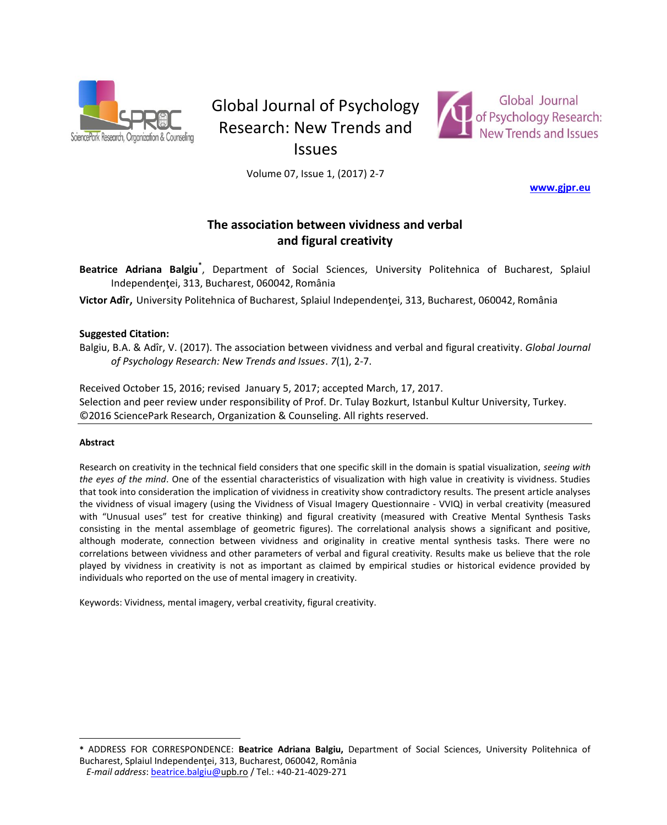

# Global Journal of Psychology Research: New Trends and



Issues

Volume 07, Issue 1, (2017) 2-7

**[www.gjpr.eu](http://www.gjpr.eu/)**

## **The association between vividness and verbal and figural creativity**

**Beatrice Adriana Balgiu\*** , Department of Social Sciences, University Politehnica of Bucharest, Splaiul Independenţei, 313, Bucharest, 060042, România

Victor Adîr, University Politehnica of Bucharest, Splaiul Independentei, 313, Bucharest, 060042, România

### **Suggested Citation:**

Balgiu, B.A. & Adîr, V. (2017). The association between vividness and verbal and figural creativity. *Global Journal of Psychology Research: New Trends and Issues*. *7*(1), 2-7.

Received October 15, 2016; revised January 5, 2017; accepted March, 17, 2017. Selection and peer review under responsibility of Prof. Dr. Tulay Bozkurt, Istanbul Kultur University, Turkey. ©2016 SciencePark Research, Organization & Counseling. All rights reserved.

#### **Abstract**

 $\overline{a}$ 

Research on creativity in the technical field considers that one specific skill in the domain is spatial visualization, *seeing with the eyes of the mind*. One of the essential characteristics of visualization with high value in creativity is vividness. Studies that took into consideration the implication of vividness in creativity show contradictory results. The present article analyses the vividness of visual imagery (using the Vividness of Visual Imagery Questionnaire - VVIQ) in verbal creativity (measured with "Unusual uses" test for creative thinking) and figural creativity (measured with Creative Mental Synthesis Tasks consisting in the mental assemblage of geometric figures). The correlational analysis shows a significant and positive, although moderate, connection between vividness and originality in creative mental synthesis tasks. There were no correlations between vividness and other parameters of verbal and figural creativity. Results make us believe that the role played by vividness in creativity is not as important as claimed by empirical studies or historical evidence provided by individuals who reported on the use of mental imagery in creativity.

Keywords: Vividness, mental imagery, verbal creativity, figural creativity.

**<sup>\*</sup>** ADDRESS FOR CORRESPONDENCE: **Beatrice Adriana Balgiu,** Department of Social Sciences, University Politehnica of Bucharest, Splaiul Independentei, 313, Bucharest, 060042, România

*E-mail address*: [beatrice.balgiu@u](mailto:beatrice.balgiu@)pb.ro / Tel.: +40-21-4029-271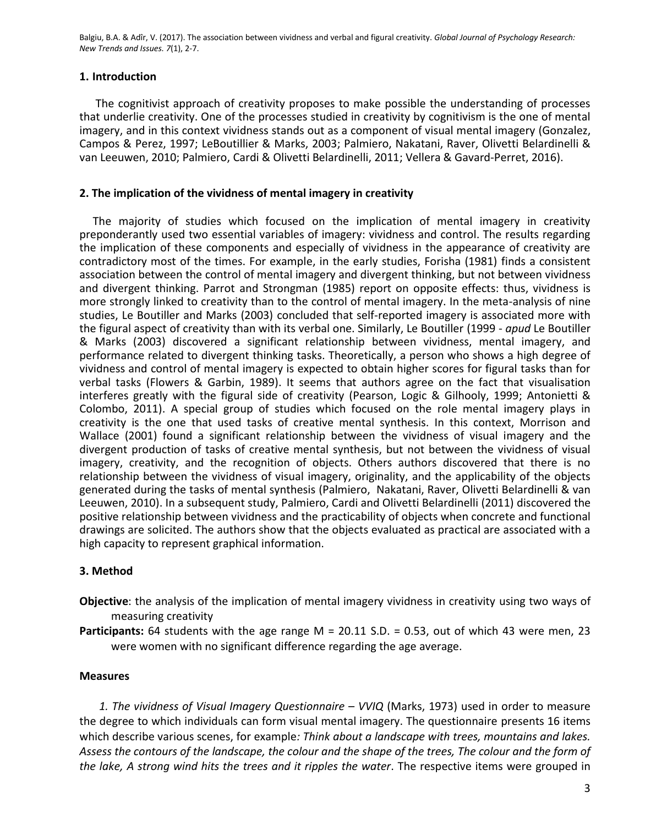## **1. Introduction**

The cognitivist approach of creativity proposes to make possible the understanding of processes that underlie creativity. One of the processes studied in creativity by cognitivism is the one of mental imagery, and in this context vividness stands out as a component of visual mental imagery (Gonzalez, Campos & Perez, 1997; LeBoutillier & Marks, 2003; Palmiero, Nakatani, Raver, Olivetti Belardinelli & van Leeuwen, 2010; Palmiero, Cardi & Olivetti Belardinelli, 2011; Vellera & Gavard-Perret, 2016).

## **2. The implication of the vividness of mental imagery in creativity**

The majority of studies which focused on the implication of mental imagery in creativity preponderantly used two essential variables of imagery: vividness and control. The results regarding the implication of these components and especially of vividness in the appearance of creativity are contradictory most of the times. For example, in the early studies, Forisha (1981) finds a consistent association between the control of mental imagery and divergent thinking, but not between vividness and divergent thinking. Parrot and Strongman (1985) report on opposite effects: thus, vividness is more strongly linked to creativity than to the control of mental imagery. In the meta-analysis of nine studies, Le Boutiller and Marks (2003) concluded that self-reported imagery is associated more with the figural aspect of creativity than with its verbal one. Similarly, Le Boutiller (1999 - *apud* Le Boutiller & Marks (2003) discovered a significant relationship between vividness, mental imagery, and performance related to divergent thinking tasks. Theoretically, a person who shows a high degree of vividness and control of mental imagery is expected to obtain higher scores for figural tasks than for verbal tasks (Flowers & Garbin, 1989). It seems that authors agree on the fact that visualisation interferes greatly with the figural side of creativity (Pearson, Logic & Gilhooly, 1999; Antonietti & Colombo, 2011). A special group of studies which focused on the role mental imagery plays in creativity is the one that used tasks of creative mental synthesis. In this context, Morrison and Wallace (2001) found a significant relationship between the vividness of visual imagery and the divergent production of tasks of creative mental synthesis, but not between the vividness of visual imagery, creativity, and the recognition of objects. Others authors discovered that there is no relationship between the vividness of visual imagery, originality, and the applicability of the objects generated during the tasks of mental synthesis (Palmiero, Nakatani, Raver, Olivetti Belardinelli & van Leeuwen, 2010). In a subsequent study, Palmiero, Cardi and Olivetti Belardinelli (2011) discovered the positive relationship between vividness and the practicability of objects when concrete and functional drawings are solicited. The authors show that the objects evaluated as practical are associated with a high capacity to represent graphical information.

## **3. Method**

- **Objective**: the analysis of the implication of mental imagery vividness in creativity using two ways of measuring creativity
- **Participants:** 64 students with the age range M = 20.11 S.D. = 0.53, out of which 43 were men, 23 were women with no significant difference regarding the age average.

## **Measures**

 *1. The vividness of Visual Imagery Questionnaire* – *VVIQ* (Marks, 1973) used in order to measure the degree to which individuals can form visual mental imagery. The questionnaire presents 16 items which describe various scenes, for example*: Think about a landscape with trees, mountains and lakes. Assess the contours of the landscape, the colour and the shape of the trees, The colour and the form of the lake, A strong wind hits the trees and it ripples the water*. The respective items were grouped in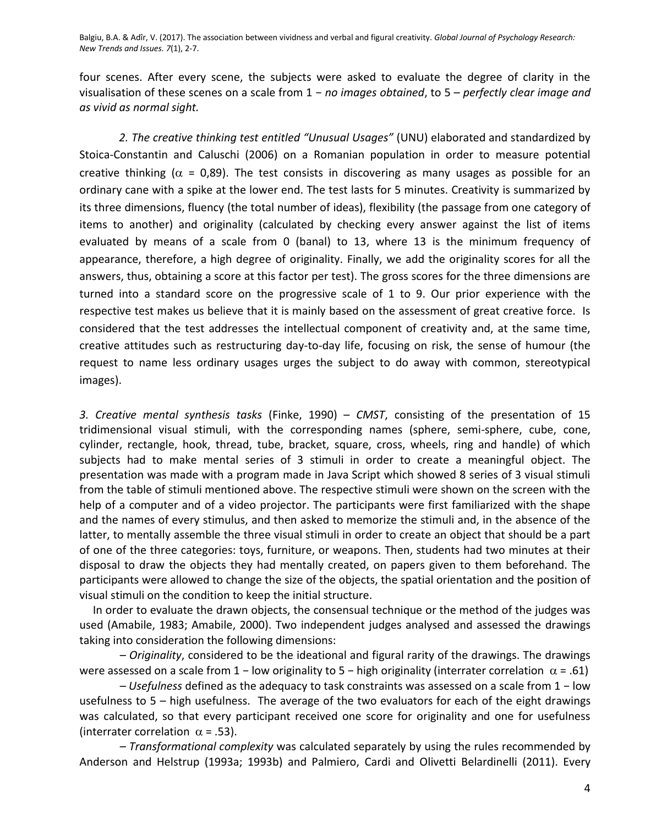four scenes. After every scene, the subjects were asked to evaluate the degree of clarity in the visualisation of these scenes on a scale from 1 − *no images obtained*, to 5 – *perfectly clear image and as vivid as normal sight.*

*2. The creative thinking test entitled "Unusual Usages"* (UNU) elaborated and standardized by Stoica-Constantin and Caluschi (2006) on a Romanian population in order to measure potential creative thinking ( $\alpha$  = 0,89). The test consists in discovering as many usages as possible for an ordinary cane with a spike at the lower end. The test lasts for 5 minutes. Creativity is summarized by its three dimensions, fluency (the total number of ideas), flexibility (the passage from one category of items to another) and originality (calculated by checking every answer against the list of items evaluated by means of a scale from 0 (banal) to 13, where 13 is the minimum frequency of appearance, therefore, a high degree of originality. Finally, we add the originality scores for all the answers, thus, obtaining a score at this factor per test). The gross scores for the three dimensions are turned into a standard score on the progressive scale of 1 to 9. Our prior experience with the respective test makes us believe that it is mainly based on the assessment of great creative force. Is considered that the test addresses the intellectual component of creativity and, at the same time, creative attitudes such as restructuring day-to-day life, focusing on risk, the sense of humour (the request to name less ordinary usages urges the subject to do away with common, stereotypical images).

*3. Creative mental synthesis tasks* (Finke, 1990) – *CMST*, consisting of the presentation of 15 tridimensional visual stimuli, with the corresponding names (sphere, semi-sphere, cube, cone, cylinder, rectangle, hook, thread, tube, bracket, square, cross, wheels, ring and handle) of which subjects had to make mental series of 3 stimuli in order to create a meaningful object. The presentation was made with a program made in Java Script which showed 8 series of 3 visual stimuli from the table of stimuli mentioned above. The respective stimuli were shown on the screen with the help of a computer and of a video projector. The participants were first familiarized with the shape and the names of every stimulus, and then asked to memorize the stimuli and, in the absence of the latter, to mentally assemble the three visual stimuli in order to create an object that should be a part of one of the three categories: toys, furniture, or weapons. Then, students had two minutes at their disposal to draw the objects they had mentally created, on papers given to them beforehand. The participants were allowed to change the size of the objects, the spatial orientation and the position of visual stimuli on the condition to keep the initial structure.

In order to evaluate the drawn objects, the consensual technique or the method of the judges was used (Amabile, 1983; Amabile, 2000). Two independent judges analysed and assessed the drawings taking into consideration the following dimensions:

*– Originality*, considered to be the ideational and figural rarity of the drawings. The drawings were assessed on a scale from 1 – low originality to 5 – high originality (interrater correlation  $\alpha$  = .61)

*– Usefulness* defined as the adequacy to task constraints was assessed on a scale from 1 − low usefulness to  $5 -$  high usefulness. The average of the two evaluators for each of the eight drawings was calculated, so that every participant received one score for originality and one for usefulness (interrater correlation  $\alpha$  = .53).

*– Transformational complexity* was calculated separately by using the rules recommended by Anderson and Helstrup (1993a; 1993b) and Palmiero, Cardi and Olivetti Belardinelli (2011). Every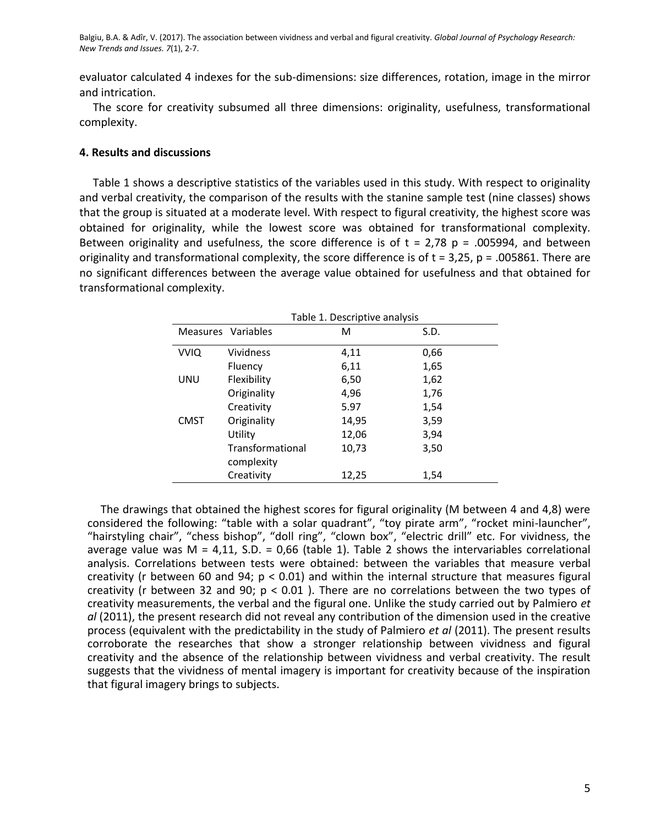evaluator calculated 4 indexes for the sub-dimensions: size differences, rotation, image in the mirror and intrication.

The score for creativity subsumed all three dimensions: originality, usefulness, transformational complexity.

## **4. Results and discussions**

Table 1 shows a descriptive statistics of the variables used in this study. With respect to originality and verbal creativity, the comparison of the results with the stanine sample test (nine classes) shows that the group is situated at a moderate level. With respect to figural creativity, the highest score was obtained for originality, while the lowest score was obtained for transformational complexity. Between originality and usefulness, the score difference is of  $t = 2.78$  p = .005994, and between originality and transformational complexity, the score difference is of  $t = 3.25$ ,  $p = .005861$ . There are no significant differences between the average value obtained for usefulness and that obtained for transformational complexity.

| Table 1. Descriptive analysis |                  |       |      |  |  |  |  |
|-------------------------------|------------------|-------|------|--|--|--|--|
| Measures Variables            |                  | м     | S.D. |  |  |  |  |
| <b>VVIQ</b>                   | Vividness        | 4,11  | 0,66 |  |  |  |  |
|                               | Fluency          | 6,11  | 1,65 |  |  |  |  |
| UNU                           | Flexibility      | 6,50  | 1,62 |  |  |  |  |
|                               | Originality      | 4,96  | 1,76 |  |  |  |  |
|                               | Creativity       | 5.97  | 1,54 |  |  |  |  |
| <b>CMST</b>                   | Originality      | 14,95 | 3,59 |  |  |  |  |
|                               | Utility          | 12,06 | 3,94 |  |  |  |  |
|                               | Transformational | 10,73 | 3,50 |  |  |  |  |
|                               | complexity       |       |      |  |  |  |  |
|                               | Creativity       | 12,25 | 1,54 |  |  |  |  |

The drawings that obtained the highest scores for figural originality (M between 4 and 4,8) were considered the following: "table with a solar quadrant", "toy pirate arm", "rocket mini-launcher", "hairstyling chair", "chess bishop", "doll ring", "clown box", "electric drill" etc. For vividness, the average value was  $M = 4,11$ , S.D. = 0,66 (table 1). Table 2 shows the intervariables correlational analysis. Correlations between tests were obtained: between the variables that measure verbal creativity (r between 60 and 94;  $p < 0.01$ ) and within the internal structure that measures figural creativity (r between 32 and 90;  $p < 0.01$  ). There are no correlations between the two types of creativity measurements, the verbal and the figural one. Unlike the study carried out by Palmiero *et al* (2011), the present research did not reveal any contribution of the dimension used in the creative process (equivalent with the predictability in the study of Palmiero *et al* (2011). The present results corroborate the researches that show a stronger relationship between vividness and figural creativity and the absence of the relationship between vividness and verbal creativity. The result suggests that the vividness of mental imagery is important for creativity because of the inspiration that figural imagery brings to subjects.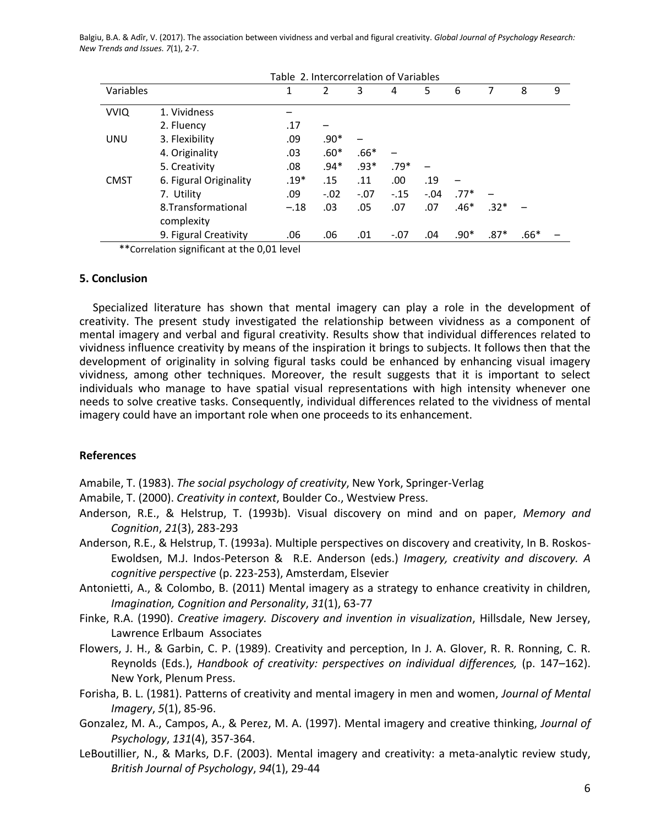|             | Table 2. Intercorrelation of Variables |        |               |        |        |        |        |        |        |   |
|-------------|----------------------------------------|--------|---------------|--------|--------|--------|--------|--------|--------|---|
| Variables   |                                        | 1      | $\mathcal{P}$ | 3      | 4      | 5      | 6      |        | 8      | 9 |
| <b>VVIQ</b> | 1. Vividness                           |        |               |        |        |        |        |        |        |   |
|             | 2. Fluency                             | .17    |               |        |        |        |        |        |        |   |
| <b>UNU</b>  | 3. Flexibility                         | .09    | $.90*$        |        |        |        |        |        |        |   |
|             | 4. Originality                         | .03    | $.60*$        | $.66*$ |        |        |        |        |        |   |
|             | 5. Creativity                          | .08    | $.94*$        | $.93*$ | $.79*$ |        |        |        |        |   |
| <b>CMST</b> | 6. Figural Originality                 | $.19*$ | .15           | .11    | .00.   | .19    |        |        |        |   |
|             | 7. Utility                             | .09    | $-.02$        | $-.07$ | $-.15$ | $-.04$ | $.77*$ |        |        |   |
|             | 8. Transformational                    | $-.18$ | .03           | .05    | .07    | .07    | $.46*$ | $.32*$ |        |   |
|             | complexity                             |        |               |        |        |        |        |        |        |   |
|             | 9. Figural Creativity                  | .06    | .06           | .01    | $-.07$ | .04    | $.90*$ | $.87*$ | $.66*$ |   |

\*\*Correlation significant at the 0,01 level

### **5. Conclusion**

Specialized literature has shown that mental imagery can play a role in the development of creativity. The present study investigated the relationship between vividness as a component of mental imagery and verbal and figural creativity. Results show that individual differences related to vividness influence creativity by means of the inspiration it brings to subjects. It follows then that the development of originality in solving figural tasks could be enhanced by enhancing visual imagery vividness, among other techniques. Moreover, the result suggests that it is important to select individuals who manage to have spatial visual representations with high intensity whenever one needs to solve creative tasks. Consequently, individual differences related to the vividness of mental imagery could have an important role when one proceeds to its enhancement.

## **References**

Amabile, T. (1983). *The social psychology of creativity*, New York, Springer-Verlag

Amabile, T. (2000). *Creativity in context*, Boulder Co., Westview Press.

Anderson, R.E., & Helstrup, T. (1993b). Visual discovery on mind and on paper, *Memory and Cognition*, *21*(3), 283-293

Anderson, R.E., & Helstrup, T. (1993a). Multiple perspectives on discovery and creativity, In B. Roskos-Ewoldsen, M.J. Indos-Peterson & R.E. Anderson (eds.) *Imagery, creativity and discovery. A cognitive perspective* (p. 223-253), Amsterdam, Elsevier

Antonietti, A., & Colombo, B. (2011) Mental imagery as a strategy to enhance creativity in children, *Imagination, Cognition and Personality*, *31*(1), 63-77

Finke, R.A. (1990). *Creative imagery. Discovery and invention in visualization*, Hillsdale, New Jersey, Lawrence Erlbaum Associates

Flowers, J. H., & Garbin, C. P. (1989). Creativity and perception, In J. A. Glover, R. R. Ronning, C. R. Reynolds (Eds.), *Handbook of creativity: perspectives on individual differences,* (p. 147–162). New York, Plenum Press.

Forisha, B. L. (1981). Patterns of creativity and mental imagery in men and women, *Journal of Mental Imagery*, *5*(1), 85-96.

Gonzalez, M. A., Campos, A., & Perez, M. A. (1997). Mental imagery and creative thinking, *Journal of Psychology*, *131*(4), 357-364.

LeBoutillier, N., & Marks, D.F. (2003). Mental imagery and creativity: a meta-analytic review study, *British Journal of Psychology*, *94*(1), 29-44